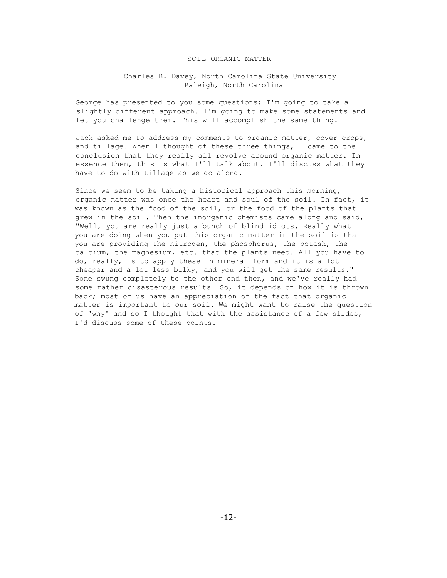### SOIL ORGANIC MATTER

## Charles B. Davey, North Carolina State University Raleigh, North Carolina

George has presented to you some questions; I'm going to take a slightly different approach. I'm going to make some statements and let you challenge them. This will accomplish the same thing.

Jack asked me to address my comments to organic matter, cover crops, and tillage. When I thought of these three things, I came to the conclusion that they really all revolve around organic matter. In essence then, this is what I'll talk about. I'll discuss what they have to do with tillage as we go along.

Since we seem to be taking a historical approach this morning, organic matter was once the heart and soul of the soil. In fact, it was known as the food of the soil, or the food of the plants that grew in the soil. Then the inorganic chemists came along and said, "Well, you are really just a bunch of blind idiots. Really what you are doing when you put this organic matter in the soil is that you are providing the nitrogen, the phosphorus, the potash, the calcium, the magnesium, etc. that the plants need. All you have to do, really, is to apply these in mineral form and it is a lot cheaper and a lot less bulky, and you will get the same results." Some swung completely to the other end then, and we've really had some rather disasterous results. So, it depends on how it is thrown back; most of us have an appreciation of the fact that organic matter is important to our soil. We might want to raise the question of "why" and so I thought that with the assistance of a few slides, I'd discuss some of these points.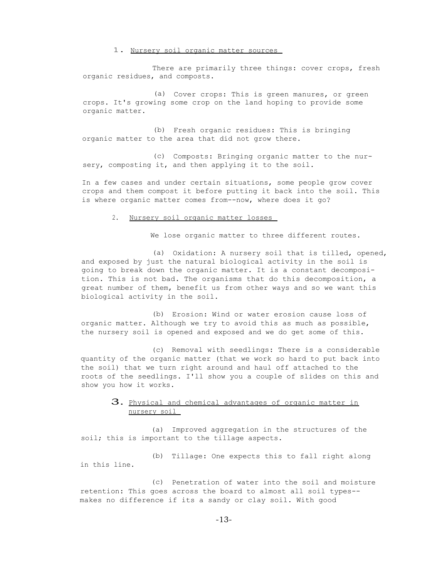#### 1. Nursery soil organic matter sources

There are primarily three things: cover crops, fresh organic residues, and composts.

(a) Cover crops: This is green manures, or green crops. It's growing some crop on the land hoping to provide some organic matter.

(b) Fresh organic residues: This is bringing organic matter to the area that did not grow there.

(c) Composts: Bringing organic matter to the nursery, composting it, and then applying it to the soil.

In a few cases and under certain situations, some people grow cover crops and them compost it before putting it back into the soil. This is where organic matter comes from--now, where does it go?

#### 2. Nursery soil organic matter losses

We lose organic matter to three different routes.

(a) Oxidation: A nursery soil that is tilled, opened, and exposed by just the natural biological activity in the soil is going to break down the organic matter. It is a constant decomposition. This is not bad. The organisms that do this decomposition, a great number of them, benefit us from other ways and so we want this biological activity in the soil.

(b) Erosion: Wind or water erosion cause loss of organic matter. Although we try to avoid this as much as possible, the nursery soil is opened and exposed and we do get some of this.

(c) Removal with seedlings: There is a considerable quantity of the organic matter (that we work so hard to put back into the soil) that we turn right around and haul off attached to the roots of the seedlings. I'll show you a couple of slides on this and show you how it works.

# 3. Physical and chemical advantages of organic matter in nursery soil

(a) Improved aggregation in the structures of the soil; this is important to the tillage aspects.

(b) Tillage: One expects this to fall right along in this line.

(c) Penetration of water into the soil and moisture retention: This goes across the board to almost all soil types- makes no difference if its a sandy or clay soil. With good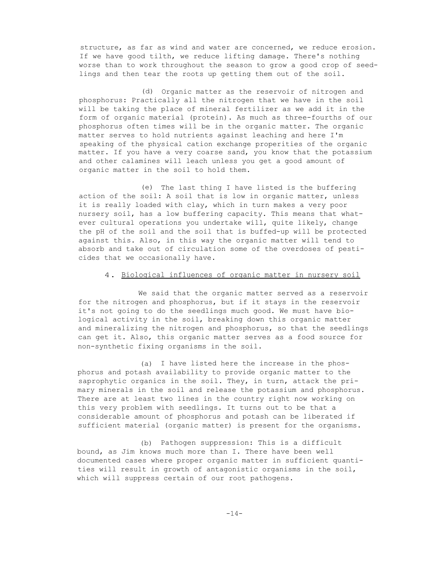structure, as far as wind and water are concerned, we reduce erosion. If we have good tilth, we reduce lifting damage. There's nothing worse than to work throughout the season to grow a good crop of seedlings and then tear the roots up getting them out of the soil.

(d) Organic matter as the reservoir of nitrogen and phosphorus: Practically all the nitrogen that we have in the soil will be taking the place of mineral fertilizer as we add it in the form of organic material (protein). As much as three-fourths of our phosphorus often times will be in the organic matter. The organic matter serves to hold nutrients against leaching and here I'm speaking of the physical cation exchange properities of the organic matter. If you have a very coarse sand, you know that the potassium and other calamines will leach unless you get a good amount of organic matter in the soil to hold them.

(e) The last thing I have listed is the buffering action of the soil: A soil that is low in organic matter, unless it is really loaded with clay, which in turn makes a very poor nursery soil, has a low buffering capacity. This means that whatever cultural operations you undertake will, quite likely, change the pH of the soil and the soil that is buffed-up will be protected against this. Also, in this way the organic matter will tend to absorb and take out of circulation some of the overdoses of pesticides that we occasionally have.

### 4. Biological influences of organic matter in nursery soil

We said that the organic matter served as a reservoir for the nitrogen and phosphorus, but if it stays in the reservoir it's not going to do the seedlings much good. We must have biological activity in the soil, breaking down this organic matter and mineralizing the nitrogen and phosphorus, so that the seedlings can get it. Also, this organic matter serves as a food source for non-synthetic fixing organisms in the soil.

(a) I have listed here the increase in the phosphorus and potash availability to provide organic matter to the saprophytic organics in the soil. They, in turn, attack the primary minerals in the soil and release the potassium and phosphorus. There are at least two lines in the country right now working on this very problem with seedlings. It turns out to be that a considerable amount of phosphorus and potash can be liberated if sufficient material (organic matter) is present for the organisms.

(b) Pathogen suppression: This is a difficult bound, as Jim knows much more than I. There have been well documented cases where proper organic matter in sufficient quantities will result in growth of antagonistic organisms in the soil, which will suppress certain of our root pathogens.